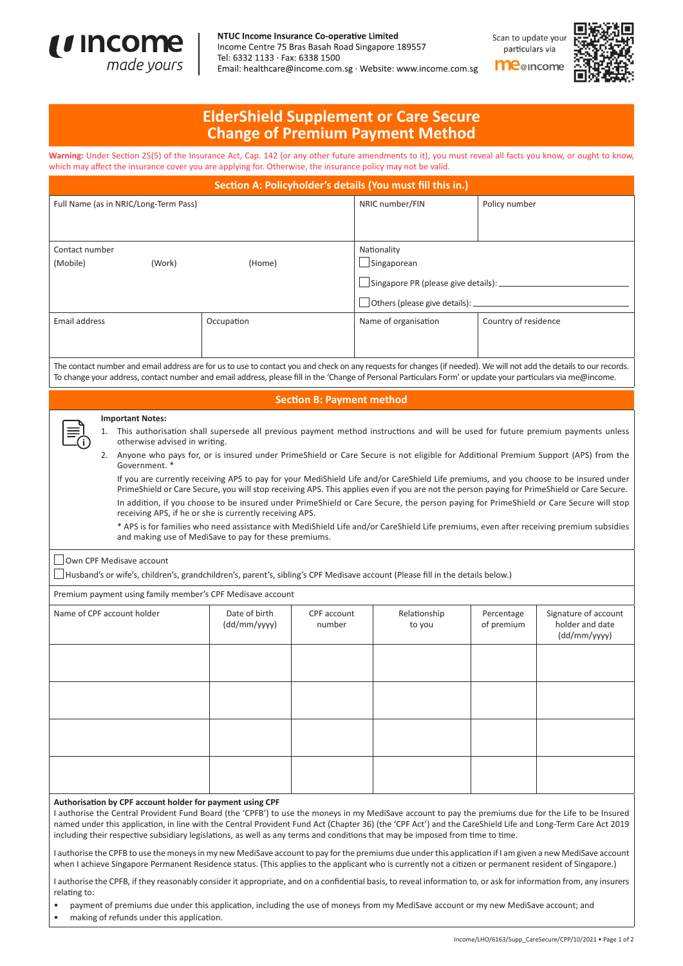

## NTUC Income Insurance Co-operative Limited

Income Centre 75 Bras Basah Road Singapore 189557 Tel: 6332 1133 · Fax: 6338 1500 Email: healthcare@income.com.sg · Website: www.income.com.sg Scan to update your particulars via



## **me**@income

| <b>ElderShield Supplement or Care Secure</b> |  |
|----------------------------------------------|--|
| <b>Change of Premium Payment Method</b>      |  |

Warning: Under Section 25(5) of the Insurance Act, Cap. 142 (or any other future amendments to it), you must reveal all facts you know, or ought to know, which may affect the insurance cover you are applying for. Otherwise, the insurance policy may not be valid.

| Section A: Policyholder's details (You must fill this in.)                                                                                                                                                                                                                                                                                                                                                                                                                                                                                                                                                                                                                                                                                                                                                                                 |                                                                                                                  |                                                                     |                                                                                                                                                                                                                                                                                                                                                                                                                                                                                                                                                                                                                                                                                                                                                                                                                                                        |                          |                                                         |  |
|--------------------------------------------------------------------------------------------------------------------------------------------------------------------------------------------------------------------------------------------------------------------------------------------------------------------------------------------------------------------------------------------------------------------------------------------------------------------------------------------------------------------------------------------------------------------------------------------------------------------------------------------------------------------------------------------------------------------------------------------------------------------------------------------------------------------------------------------|------------------------------------------------------------------------------------------------------------------|---------------------------------------------------------------------|--------------------------------------------------------------------------------------------------------------------------------------------------------------------------------------------------------------------------------------------------------------------------------------------------------------------------------------------------------------------------------------------------------------------------------------------------------------------------------------------------------------------------------------------------------------------------------------------------------------------------------------------------------------------------------------------------------------------------------------------------------------------------------------------------------------------------------------------------------|--------------------------|---------------------------------------------------------|--|
| Full Name (as in NRIC/Long-Term Pass)                                                                                                                                                                                                                                                                                                                                                                                                                                                                                                                                                                                                                                                                                                                                                                                                      |                                                                                                                  |                                                                     | NRIC number/FIN                                                                                                                                                                                                                                                                                                                                                                                                                                                                                                                                                                                                                                                                                                                                                                                                                                        | Policy number            |                                                         |  |
|                                                                                                                                                                                                                                                                                                                                                                                                                                                                                                                                                                                                                                                                                                                                                                                                                                            |                                                                                                                  |                                                                     |                                                                                                                                                                                                                                                                                                                                                                                                                                                                                                                                                                                                                                                                                                                                                                                                                                                        |                          |                                                         |  |
| Contact number                                                                                                                                                                                                                                                                                                                                                                                                                                                                                                                                                                                                                                                                                                                                                                                                                             |                                                                                                                  |                                                                     | Nationality                                                                                                                                                                                                                                                                                                                                                                                                                                                                                                                                                                                                                                                                                                                                                                                                                                            |                          |                                                         |  |
| (Mobile)<br>(Work)<br>(Home)                                                                                                                                                                                                                                                                                                                                                                                                                                                                                                                                                                                                                                                                                                                                                                                                               |                                                                                                                  |                                                                     | Singaporean                                                                                                                                                                                                                                                                                                                                                                                                                                                                                                                                                                                                                                                                                                                                                                                                                                            |                          |                                                         |  |
|                                                                                                                                                                                                                                                                                                                                                                                                                                                                                                                                                                                                                                                                                                                                                                                                                                            |                                                                                                                  |                                                                     |                                                                                                                                                                                                                                                                                                                                                                                                                                                                                                                                                                                                                                                                                                                                                                                                                                                        |                          |                                                         |  |
|                                                                                                                                                                                                                                                                                                                                                                                                                                                                                                                                                                                                                                                                                                                                                                                                                                            |                                                                                                                  | $\Box$ Others (please give details): $\Box$<br>Country of residence |                                                                                                                                                                                                                                                                                                                                                                                                                                                                                                                                                                                                                                                                                                                                                                                                                                                        |                          |                                                         |  |
| Email address                                                                                                                                                                                                                                                                                                                                                                                                                                                                                                                                                                                                                                                                                                                                                                                                                              | Occupation                                                                                                       |                                                                     | Name of organisation                                                                                                                                                                                                                                                                                                                                                                                                                                                                                                                                                                                                                                                                                                                                                                                                                                   |                          |                                                         |  |
| The contact number and email address are for us to use to contact you and check on any requests for changes (if needed). We will not add the details to our records.<br>To change your address, contact number and email address, please fill in the 'Change of Personal Particulars Form' or update your particulars via me@income.                                                                                                                                                                                                                                                                                                                                                                                                                                                                                                       |                                                                                                                  |                                                                     |                                                                                                                                                                                                                                                                                                                                                                                                                                                                                                                                                                                                                                                                                                                                                                                                                                                        |                          |                                                         |  |
|                                                                                                                                                                                                                                                                                                                                                                                                                                                                                                                                                                                                                                                                                                                                                                                                                                            |                                                                                                                  | <b>Section B: Payment method</b>                                    |                                                                                                                                                                                                                                                                                                                                                                                                                                                                                                                                                                                                                                                                                                                                                                                                                                                        |                          |                                                         |  |
| <b>Important Notes:</b><br>otherwise advised in writing.<br>Government. *<br>Own CPF Medisave account<br>Husband's or wife's, children's, grandchildren's, parent's, sibling's CPF Medisave account (Please fill in the details below.)                                                                                                                                                                                                                                                                                                                                                                                                                                                                                                                                                                                                    | receiving APS, if he or she is currently receiving APS.<br>and making use of MediSave to pay for these premiums. |                                                                     | 1. This authorisation shall supersede all previous payment method instructions and will be used for future premium payments unless<br>2. Anyone who pays for, or is insured under PrimeShield or Care Secure is not eligible for Additional Premium Support (APS) from the<br>If you are currently receiving APS to pay for your MediShield Life and/or CareShield Life premiums, and you choose to be insured under<br>PrimeShield or Care Secure, you will stop receiving APS. This applies even if you are not the person paying for PrimeShield or Care Secure.<br>In addition, if you choose to be insured under PrimeShield or Care Secure, the person paying for PrimeShield or Care Secure will stop<br>* APS is for families who need assistance with MediShield Life and/or CareShield Life premiums, even after receiving premium subsidies |                          |                                                         |  |
| Premium payment using family member's CPF Medisave account                                                                                                                                                                                                                                                                                                                                                                                                                                                                                                                                                                                                                                                                                                                                                                                 |                                                                                                                  |                                                                     |                                                                                                                                                                                                                                                                                                                                                                                                                                                                                                                                                                                                                                                                                                                                                                                                                                                        |                          |                                                         |  |
| Name of CPF account holder                                                                                                                                                                                                                                                                                                                                                                                                                                                                                                                                                                                                                                                                                                                                                                                                                 | Date of birth<br>(dd/mm/yyyy)                                                                                    | CPF account<br>number                                               | Relationship<br>to you                                                                                                                                                                                                                                                                                                                                                                                                                                                                                                                                                                                                                                                                                                                                                                                                                                 | Percentage<br>of premium | Signature of account<br>holder and date<br>(dd/mm/yyyy) |  |
|                                                                                                                                                                                                                                                                                                                                                                                                                                                                                                                                                                                                                                                                                                                                                                                                                                            |                                                                                                                  |                                                                     |                                                                                                                                                                                                                                                                                                                                                                                                                                                                                                                                                                                                                                                                                                                                                                                                                                                        |                          |                                                         |  |
|                                                                                                                                                                                                                                                                                                                                                                                                                                                                                                                                                                                                                                                                                                                                                                                                                                            |                                                                                                                  |                                                                     |                                                                                                                                                                                                                                                                                                                                                                                                                                                                                                                                                                                                                                                                                                                                                                                                                                                        |                          |                                                         |  |
| Authorisation by CPF account holder for payment using CPF<br>I authorise the Central Provident Fund Board (the 'CPFB') to use the moneys in my MediSave account to pay the premiums due for the Life to be Insured<br>named under this application, in line with the Central Provident Fund Act (Chapter 36) (the 'CPF Act') and the CareShield Life and Long-Term Care Act 2019<br>including their respective subsidiary legislations, as well as any terms and conditions that may be imposed from time to time.<br>I authorise the CPFB to use the moneys in my new MediSave account to pay for the premiums due under this application if I am given a new MediSave account<br>when I achieve Singapore Permanent Residence status. (This applies to the applicant who is currently not a citizen or permanent resident of Singapore.) |                                                                                                                  |                                                                     |                                                                                                                                                                                                                                                                                                                                                                                                                                                                                                                                                                                                                                                                                                                                                                                                                                                        |                          |                                                         |  |

I authorise the CPFB, if they reasonably consider it appropriate, and on a confidential basis, to reveal information to, or ask for information from, any insurers relating to:

• payment of premiums due under this application, including the use of moneys from my MediSave account or my new MediSave account; and

making of refunds under this application.